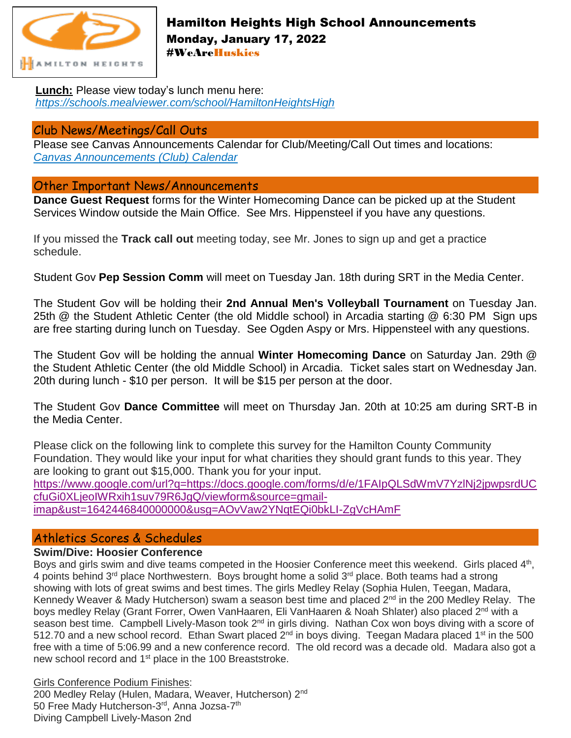

# Hamilton Heights High School Announcements Monday, January 17, 2022 #WeAreHuskies

**Lunch:** Please view today's lunch menu here: *<https://schools.mealviewer.com/school/HamiltonHeightsHigh>*

## Club News/Meetings/Call Outs

Please see Canvas Announcements Calendar for Club/Meeting/Call Out times and locations: *[Canvas Announcements \(Club\) Calendar](https://hhsc.instructure.com/calendar#view_name=month&view)*

## Other Important News/Announcements

**Dance Guest Request** forms for the Winter Homecoming Dance can be picked up at the Student Services Window outside the Main Office. See Mrs. Hippensteel if you have any questions.

If you missed the **Track call out** meeting today, see Mr. Jones to sign up and get a practice schedule.

Student Gov **Pep Session Comm** will meet on Tuesday Jan. 18th during SRT in the Media Center.

The Student Gov will be holding their **2nd Annual Men's Volleyball Tournament** on Tuesday Jan. 25th @ the Student Athletic Center (the old Middle school) in Arcadia starting @ 6:30 PM Sign ups are free starting during lunch on Tuesday. See Ogden Aspy or Mrs. Hippensteel with any questions.

The Student Gov will be holding the annual **Winter Homecoming Dance** on Saturday Jan. 29th @ the Student Athletic Center (the old Middle School) in Arcadia. Ticket sales start on Wednesday Jan. 20th during lunch - \$10 per person. It will be \$15 per person at the door.

The Student Gov **Dance Committee** will meet on Thursday Jan. 20th at 10:25 am during SRT-B in the Media Center.

Please click on the following link to complete this survey for the Hamilton County Community Foundation. They would like your input for what charities they should grant funds to this year. They are looking to grant out \$15,000. Thank you for your input. [https://www.google.com/url?q=https://docs.google.com/forms/d/e/1FAIpQLSdWmV7YzlNj2jpwpsrdUC](https://www.google.com/url?q=https://docs.google.com/forms/d/e/1FAIpQLSdWmV7YzlNj2jpwpsrdUCcfuGi0XLjeoIWRxih1suv79R6JgQ/viewform&source=gmail-imap&ust=1642446840000000&usg=AOvVaw2YNqtEQi0bkLI-ZgVcHAmF) [cfuGi0XLjeoIWRxih1suv79R6JgQ/viewform&source=gmail](https://www.google.com/url?q=https://docs.google.com/forms/d/e/1FAIpQLSdWmV7YzlNj2jpwpsrdUCcfuGi0XLjeoIWRxih1suv79R6JgQ/viewform&source=gmail-imap&ust=1642446840000000&usg=AOvVaw2YNqtEQi0bkLI-ZgVcHAmF)[imap&ust=1642446840000000&usg=AOvVaw2YNqtEQi0bkLI-ZgVcHAmF](https://www.google.com/url?q=https://docs.google.com/forms/d/e/1FAIpQLSdWmV7YzlNj2jpwpsrdUCcfuGi0XLjeoIWRxih1suv79R6JgQ/viewform&source=gmail-imap&ust=1642446840000000&usg=AOvVaw2YNqtEQi0bkLI-ZgVcHAmF)

# Athletics Scores & Schedules

#### **Swim/Dive: Hoosier Conference**

Boys and girls swim and dive teams competed in the Hoosier Conference meet this weekend. Girls placed 4<sup>th</sup>, 4 points behind  $3<sup>rd</sup>$  place Northwestern. Boys brought home a solid  $3<sup>rd</sup>$  place. Both teams had a strong showing with lots of great swims and best times. The girls Medley Relay (Sophia Hulen, Teegan, Madara, Kennedy Weaver & Mady Hutcherson) swam a season best time and placed 2<sup>nd</sup> in the 200 Medley Relay. The boys medley Relay (Grant Forrer, Owen VanHaaren, Eli VanHaaren & Noah Shlater) also placed 2<sup>nd</sup> with a season best time. Campbell Lively-Mason took 2<sup>nd</sup> in girls diving. Nathan Cox won boys diving with a score of 512.70 and a new school record. Ethan Swart placed 2<sup>nd</sup> in boys diving. Teegan Madara placed 1<sup>st</sup> in the 500 free with a time of 5:06.99 and a new conference record. The old record was a decade old. Madara also got a new school record and 1<sup>st</sup> place in the 100 Breaststroke.

Girls Conference Podium Finishes: 200 Medley Relay (Hulen, Madara, Weaver, Hutcherson) 2<sup>nd</sup> 50 Free Mady Hutcherson-3<sup>rd</sup>, Anna Jozsa-7<sup>th</sup> Diving Campbell Lively-Mason 2nd